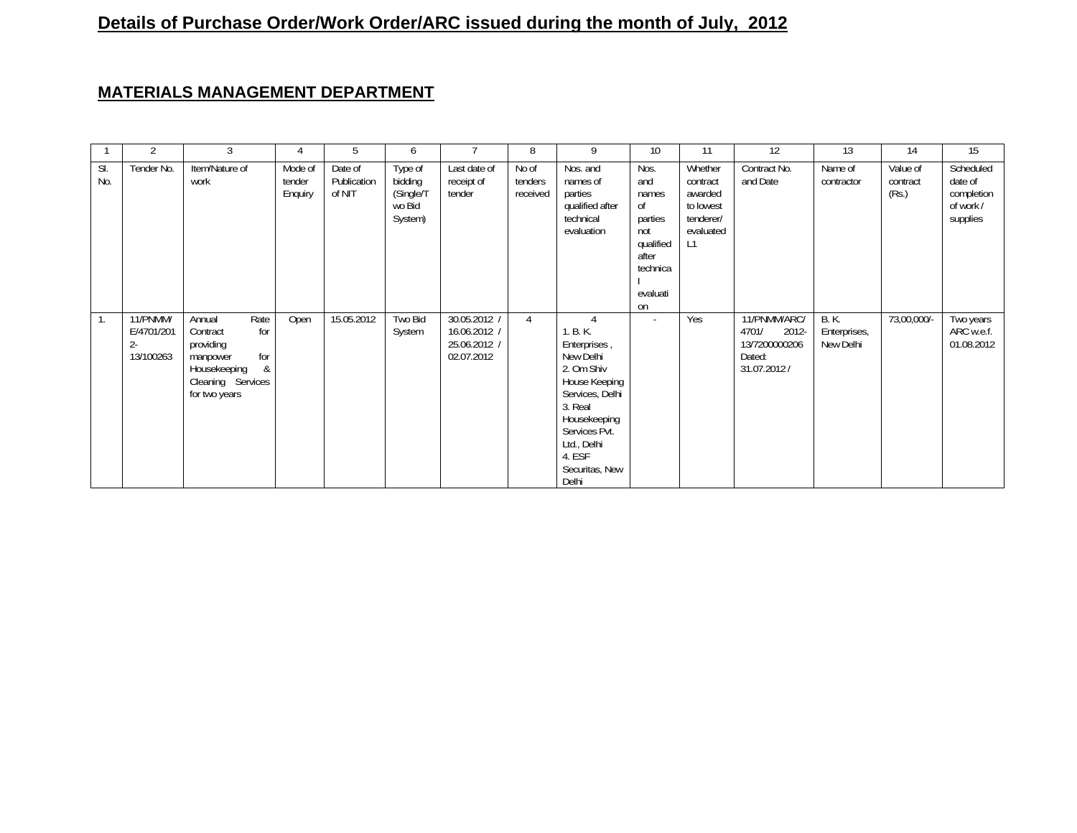## **Details of Purchase Order/Work Order/ARC issued during the month of July, 2012**

## **MATERIALS MANAGEMENT DEPARTMENT**

|            | 2                                            | 3                                                                                                                            |                              | 5                                | 6                                                    |                                                            | 8                            | 9                                                                                                                                                                                       | 10                                                                                               | 11                                                                          | 12                                                                           | 13                                       | 14                            | 15                                                          |
|------------|----------------------------------------------|------------------------------------------------------------------------------------------------------------------------------|------------------------------|----------------------------------|------------------------------------------------------|------------------------------------------------------------|------------------------------|-----------------------------------------------------------------------------------------------------------------------------------------------------------------------------------------|--------------------------------------------------------------------------------------------------|-----------------------------------------------------------------------------|------------------------------------------------------------------------------|------------------------------------------|-------------------------------|-------------------------------------------------------------|
| SI.<br>No. | Tender No.                                   | Item/Nature of<br>work                                                                                                       | Mode of<br>tender<br>Enquiry | Date of<br>Publication<br>of NIT | Type of<br>bidding<br>(Single/T<br>wo Bid<br>System) | Last date of<br>receipt of<br>tender                       | No of<br>tenders<br>received | Nos. and<br>names of<br>parties<br>qualified after<br>technical<br>evaluation                                                                                                           | Nos.<br>and<br>names<br>οf<br>parties<br>not<br>qualified<br>after<br>technica<br>evaluati<br>on | Whether<br>contract<br>awarded<br>to lowest<br>tenderer/<br>evaluated<br>L1 | Contract No.<br>and Date                                                     | Name of<br>contractor                    | Value of<br>contract<br>(Rs.) | Scheduled<br>date of<br>completion<br>of work /<br>supplies |
| 1.         | 11/PNMM/<br>E/4701/201<br>$2 -$<br>13/100263 | Rate<br>Annual<br>for<br>Contract<br>providing<br>for<br>manpower<br>&<br>Housekeeping<br>Cleaning Services<br>for two years | Open                         | 15.05.2012                       | Two Bid<br>System                                    | 30.05.2012 /<br>16.06.2012 /<br>25.06.2012 /<br>02.07.2012 | 4                            | 1. B. K.<br>Enterprises,<br>New Delhi<br>2. Om Shiv<br>House Keeping<br>Services, Delhi<br>3. Real<br>Housekeeping<br>Services Pvt.<br>Ltd., Delhi<br>4. ESF<br>Securitas, New<br>Delhi | $\sim$                                                                                           | Yes                                                                         | 11/PNMM/ARC/<br>$2012 -$<br>4701/<br>13/7200000206<br>Dated:<br>31.07.2012 / | <b>B.K.</b><br>Enterprises,<br>New Delhi | 73,00,000/-                   | Two years<br>ARC w.e.f.<br>01.08.2012                       |